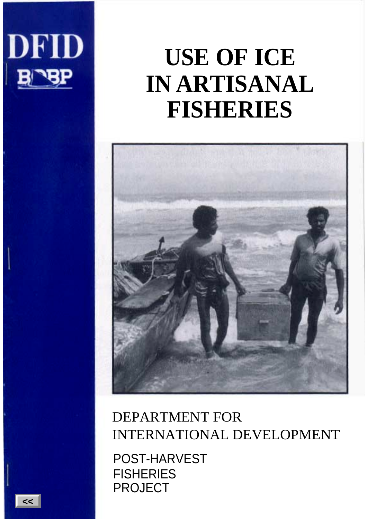

# **USE OF ICE IN ARTISANAL FISHERIES**



## DEPARTMENT FOR INTERNATIONAL DEVELOPMENT

POST-HARVEST **FISHERIES** PROJECT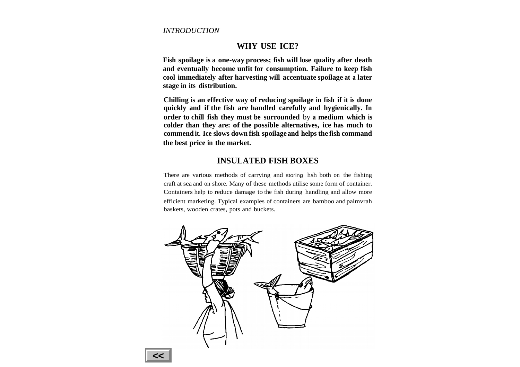#### **WHY USE ICE?**

**Fish spoilage is <sup>a</sup> one-way process; fish will lose quality after death and eventually become unfit for consumption. Failure to keep fish cool immediately after harvesting will accentuate spoilage at <sup>a</sup> later stage in its distribution.**

**Chilling is an effective way of reducing spoilage in fish if it is done quickly and if the fish are handled carefully and hygienically. In order to chill fish they must be surrounded** by **<sup>a</sup> medium which is colder than they are: of the possible alternatives, ice has much to commend it. Ice slows down fish spoilage and helps the fish command the best price in the market.**

#### **INSULATED FISH BOXES**

There are various methods of carrying and storing hsh both on the fishing craft at sea and on shore. Many of these methods utilise some form of container. Containers help to reduce damage to the fish during handling and allow more efficient marketing. Typical examples of containers are bamboo and palmvrah baskets, wooden crates, pots and buckets.

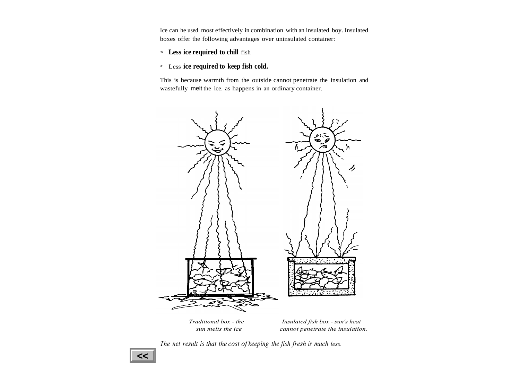Ice can he used most effectively in combination with an insulated boy. Insulated boxes offer the following advantages over uninsulated container:

\* **Less ice required to chill** fish

#### \*Less **ice required to keep fish cold.**

This is because warmth from the outside cannot penetrate the insulation and wastefully melt the ice. as happens in an ordinary container.



*Traditional box - the Insulated fish box - sun's heat sun melts the ice cannot penetrate the insulation.*

*The net result is that the cost of keeping the fish fresh is much less.*

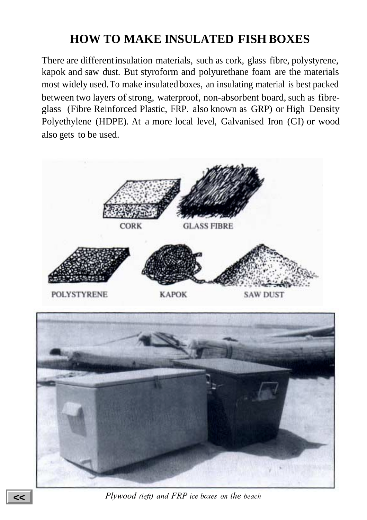## **HOW TO MAKE INSULATED FISH BOXES**

There are differentinsulation materials, such as cork, glass fibre, polystyrene, kapok and saw dust. But styroform and polyurethane foam are the materials most widely used.To make insulated boxes, an insulating material is best packed between two layers of strong, waterproof, non-absorbent board, such as fibreglass (Fibre Reinforced Plastic, FRP. also known as GRP) or High Density Polyethylene (HDPE). At a more local level, Galvanised Iron (GI) or wood also gets to be used.





*Plywood (left) and FRP ice boxes on the beach*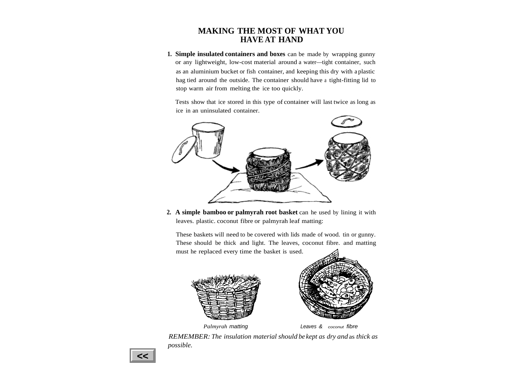#### **MAKING THE MOST OF WHAT YOU HAVE AT HAND**

**1. Simple insulated containers and boxes** can be made by wrapping gunny or any lightweight, low-cost material around <sup>a</sup> water—tight container, such as an aluminium bucket or fish container, and keeping this dry with <sup>a</sup> plastic hag tied around the outside. The container should have <sup>a</sup> tight-fitting lid to stop warm air from melting the ice too quickly.

Tests show that ice stored in this type of container will last twice as long as ice in an uninsulated container.



**2. A simple bamboo or palmyrah root basket** can he used by lining it with leaves. plastic. coconut fibre or palmyrah leaf matting:

These baskets will need to be covered with lids made of wood. tin or gunny. These should be thick and light. The leaves, coconut fibre. and matting must he replaced every time the basket is used.







*REMEMBER: The insulation material should be kept as dry and* as *thick as possible.*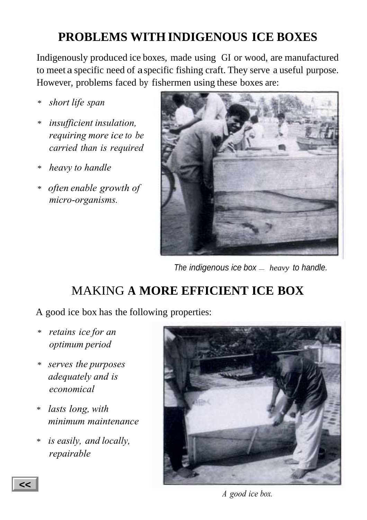## **PROBLEMS WITH INDIGENOUS ICE BOXES**

Indigenously produced ice boxes, made using GI or wood, are manufactured to meet a specific need of aspecific fishing craft. They serve a useful purpose. However, problems faced by fishermen using these boxes are:

- *\* short life span*
- *\* insufficient insulation, requiring more ice to be carried than is required*
- *\* heavy to handle*
- *\* often enable growth of micro-organisms.*



The indigenous ice box — *heavy* to handle.

## MAKING **A MORE EFFICIENT ICE BOX**

A good ice box has the following properties:

- *\* retains ice for an optimum period*
- *\* serves the purposes adequately and is economical*
- *\* lasts long, with minimum maintenance*
- *\* is easily, and locally, repairable*



*A good ice box.*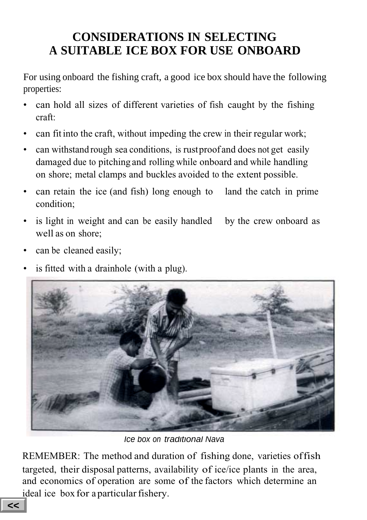## **CONSIDERATIONS IN SELECTING A SUITABLE ICE BOX FOR USE ONBOARD**

For using onboard the fishing craft, a good ice box should have the following properties:

- can hold all sizes of different varieties of fish caught by the fishing craft:
- can fit into the craft, without impeding the crew in their regular work;
- can withstand rough sea conditions, is rustproofand does not get easily damaged due to pitching and rolling while onboard and while handling on shore; metal clamps and buckles avoided to the extent possible.
- can retain the ice (and fish) long enough to condition; land the catch in prime
- is light in weight and can be easily handled well as on shore; by the crew onboard as
- can be cleaned easily;
- is fitted with a drainhole (with a plug).



Ice box on traditional Nava

REMEMBER: The method and duration of fishing done, varieties offish targeted, their disposal patterns, availability of ice/ice plants in the area, and economics of operation are some of the factors which determine an ideal ice box for a particular fishery.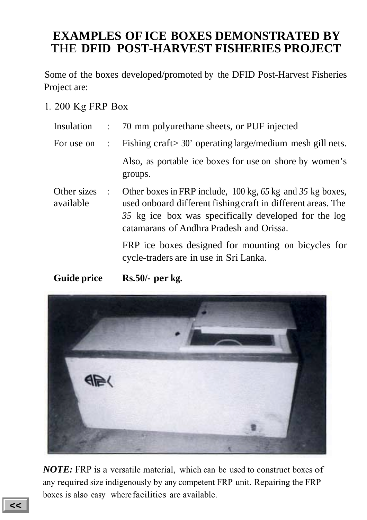### **EXAMPLES OF ICE BOXES DEMONSTRATED BY** THE **DFID POST-HARVEST FISHERIES PROJECT**

Some of the boxes developed/promoted by the DFID Post-Harvest Fisheries Project are:

1. 200 Kg FRP Box

| Insulation               |                                   | 70 mm polyurethane sheets, or PUF injected                                                                                                                                                                                                                    |
|--------------------------|-----------------------------------|---------------------------------------------------------------------------------------------------------------------------------------------------------------------------------------------------------------------------------------------------------------|
| For use on               | ÷                                 | Fishing craft > 30' operating large/medium mesh gill nets.                                                                                                                                                                                                    |
|                          |                                   | Also, as portable ice boxes for use on shore by women's<br>groups.                                                                                                                                                                                            |
| Other sizes<br>available | $\mathcal{L} \subset \mathcal{L}$ | Other boxes in FRP include, $100 \text{ kg}$ , $65 \text{ kg}$ and $35 \text{ kg}$ boxes,<br>used onboard different fishing craft in different areas. The<br>35 kg ice box was specifically developed for the log<br>catamarans of Andhra Pradesh and Orissa. |
|                          |                                   | FRP ice boxes designed for mounting on bicycles for<br>cycle-traders are in use in Sri Lanka.                                                                                                                                                                 |

**Guide price Rs.50/- per kg.**



*NOTE:* FRP is a versatile material, which can be used to construct boxes of any required size indigenously by any competent FRP unit. Repairing the FRP boxes is also easy wherefacilities are available.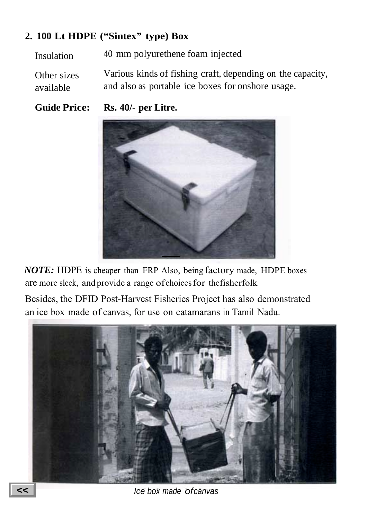### **2. 100 Lt HDPE ("Sintex" type) Box**

Insulation 40 mm polyurethene foam injected

Other sizes available Various kinds of fishing craft, depending on the capacity, and also as portable ice boxes for onshore usage.

**Guide Price: Rs. 40/- per Litre.**



*NOTE:* HDPE is cheaper than FRP Also, being factory made, HDPE boxes are more sleek, andprovide a range ofchoicesfor thefisherfolk

Besides, the DFID Post-Harvest Fisheries Project has also demonstrated an ice box made of canvas, for use on catamarans in Tamil Nadu.



Ice box made ofcanvas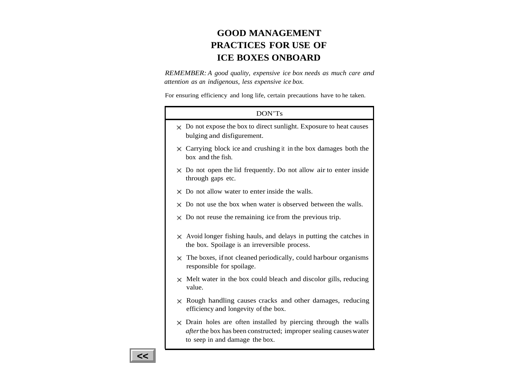### **GOOD MANAGEMENTPRACTICES FOR USE OF ICE BOXES ONBOARD**

*REMEMBER: A good quality, expensive ice box needs as much care and attention as an indigenous, less expensive ice box.*

For ensuring efficiency and long life, certain precautions have to he taken.

### DON'TsDo not expose the box to direct sunlight. Exposure to heat causes bulging and disfigurement.  $\times$  Carrying block ice and crushing it in the box damages both the box and the fish. Do not open the lid frequently. Do not allow air to enter inside through gaps etc. Do not allow water to enter inside the walls. Do not use the box when water is observed between the walls. Do not reuse the remaining ice from the previous trip. Avoid longer fishing hauls, and delays in putting the catches in the box. Spoilage is an irreversible process. The boxes, ifnot cleaned periodically, could harbour organisms responsible for spoilage. Melt water in the box could bleach and discolor gills, reducing value. $\times$  Rough handling causes cracks and other damages, reducing efficiency and longevity of the box. Drain holes are often installed by piercing through the walls *after*the box has been constructed; improper sealing causeswater

to seep in and damage the box.

**<<**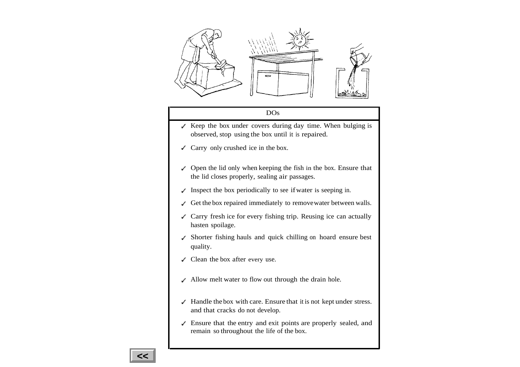

#### DOs

- $\angle$  Keep the box under covers during day time. When bulging is observed, stop using the box until it is repaired.
- $\triangle$  Carry only crushed ice in the box.
- Open the lid only when keeping the fish in the box. Ensure that the lid closes properly, sealing air passages.
- $\blacksquare$  Inspect the box periodically to see if water is seeping in.
- Get the box repaired immediately to removewater between walls.
- $\angle$  Carry fresh ice for every fishing trip. Reusing ice can actually hasten spoilage.
- Shorter fishing hauls and quick chilling on hoard ensure best quality.
- Clean the box after every use.
- Allow melt water to flow out through the drain hole.
- Handle the box with care. Ensure that it is not kept under stress. and that cracks do not develop.
- Ensure that the entry and exit points are properly sealed, and remain so throughout the life of the box.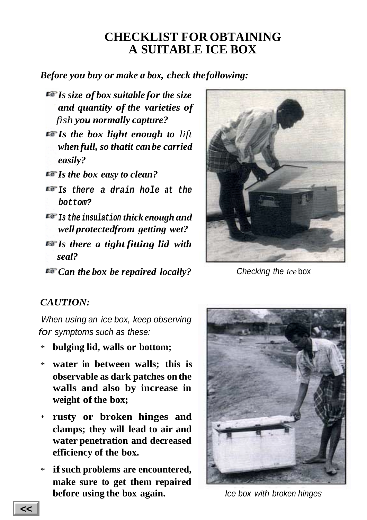### **CHECKLIST FOR OBTAINING A SUITABLE ICE BOX**

*Before you buy or make a box, check thefollowing:*

- *Is size of box suitable for the size and quantity of the varieties of fish you normally capture?*
- *Is the box light enough to lift when full, so thatit can be carried easily?*

*Is the box easy to clean?*

- **Is there <sup>a</sup> drain hole at the bottom?**
- **Is the insulation** *thick enough and well protectedfrom getting wet?*
- *Is there a tight fitting lid with seal?*

*Can the box be repaired locally?*



Checking the *ice* box

### *CAUTION:*

When using an ice box, keep observing for symptoms such as these:

- \* **bulging lid, walls or bottom;**
- \* **water in between walls; this is observable as dark patches on the walls and also by increase in** weight of the box;
- \* **rusty or broken hinges and clamps; they will lead to air and water penetration and decreased efficiency of the box.**
- \* **ifsuch problems are encountered, make sure to get them repaired before using the box again.**



Ice box with broken hinges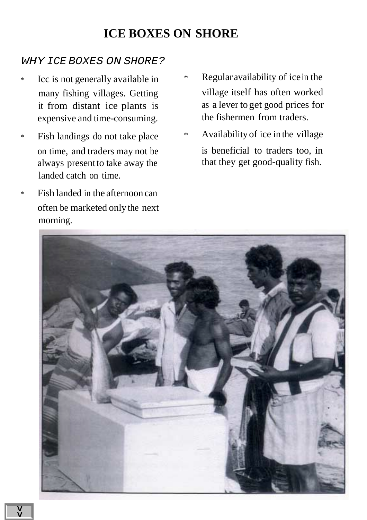### **ICE BOXES ON SHORE**

#### WHY ICE BOXES ON SHORE?

- \* Icc is not generally available in many fishing villages. Getting it from distant ice plants is expensive and time-consuming.
- \* Fish landings do not take place on time, and traders may not be always present to take away the landed catch on time.
- \* Fish landed in the afternoon can often be marketed only the next morning.
- \* Regularavailability of icein the village itself has often worked as a lever to get good prices for the fishermen from traders.
- \* Availability of ice in the village is beneficial to traders too, in that they get good-quality fish.

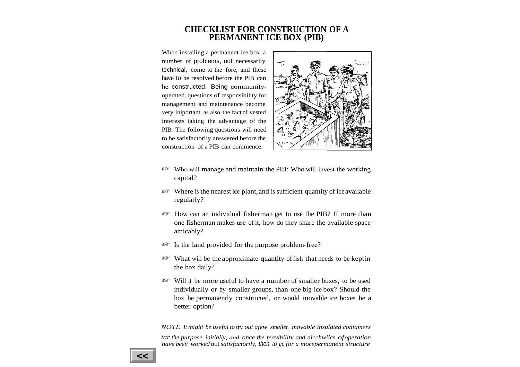#### **CHECKLIST FOR CONSTRUCTION OF A PERMANENT ICE BOX (PIB)**

When installing <sup>a</sup> permanen<sup>t</sup> ice box, <sup>a</sup> number of problems, not necessarily technical, come to the fore, and these have to be resolved before the PIB can he constructed. Being communityoperated. questions of responsibility for managemen<sup>t</sup> and maintenance become very iniportant. as also the fact of vested interests taking the advantage of the PIB. The following questions will need to be satisfactorily answered before the construction of <sup>a</sup> PIB can commence:



- Who will manage and maintain the PIB: Who will invest the working capital?
- Where is the nearest ice plant,and is sufficient quantity of iceavailable regularly?
- How can an individual fisherman ge<sup>t</sup> to use the PIB? If more than one fisherman makes use of it, how do they share the available space amicably?
- Is the land provided for the purpose problem-free?
- What will be the approximate quantity of fish that needs to be keptin the box daily?
- Will it be more useful to have <sup>a</sup> number of smaller boxes, to be used individually or by smaller groups, than one big ice box? Should the box be permanently constructed, or would movable ice boxes be <sup>a</sup> better option?

*NOTE It might be useful to* try *out afew smaller, movable insulated contamers tar the purpose initially, and once the teavihilitv and nicchwiics ofoperation have beeii worked* out *satisfactorily,* then *to go for <sup>a</sup> morepermanen<sup>t</sup> structure*

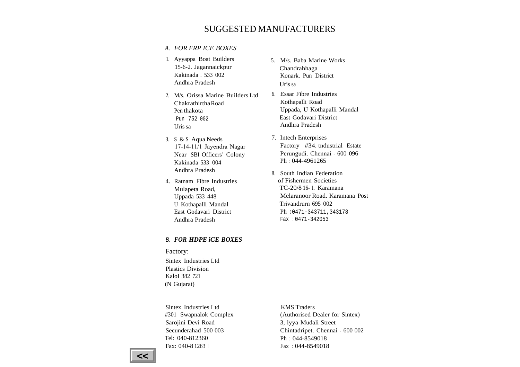#### SUGGESTED MANUFACTURERS

#### *A. FOR FRP ICE BOXES*

- 1. Ayyappa Boat Builders 15-6-2. Jagannaickpur Kakinada - 533 002 Andhra Pradesh
- 2. M/s. Orissa Marine Builders LtdChakrathirthaRoadPen thakota Pun 752 002 Uris sa
- 3. S & S Aqua Needs 17-14-11/1 Jayendra Nagar Near SBI Officers' Colony Kakinada 533 004 Andhra Pradesh
- 4. Ratnam Fibre Industries Mulapeta Road, Uppada 533 448 U Kothapalli Mandal East Godavari DistrictAndhra Pradesh

#### B. *FOR HDPE iCE BOXES*

Factory:

Sintex Industries Ltd Plastics DivisionKaloI 382 721 (N Gujarat)

Sintex Industries Ltd #301 Swapnalok Complex Sarojini Devi Road Secunderahad 500 003 Tel: 040-812360Fax: 040-8 1263 1

- 5. M/s. Baba Marine Works Chandrahhaga Konark. Pun District Uris sa
- 6. Essar Fibre Industries Kothapalli Road Uppada, U Kothapalli Mandal East Godavari District Andhra Pradesh
- 7. Intech Enterprises Factory : #34. tndustrial Estate Perungudi. Chennai - 600 096 Ph : 044-4961265
- 8. South Indian Federation of Fishermen Societies TC-20/8 16- 1. Karamana Melaranoor Road. Karamana Post Trivandrurn 695 002 Ph :0471-343711,343178 Fax : 0471-342053

KMS Traders (Authorised Dealer for Sintex) 3, lyya Mudali Street Chintadripet. Chennai - 600 002 Ph : 044-8549018Fax : 044-8549018